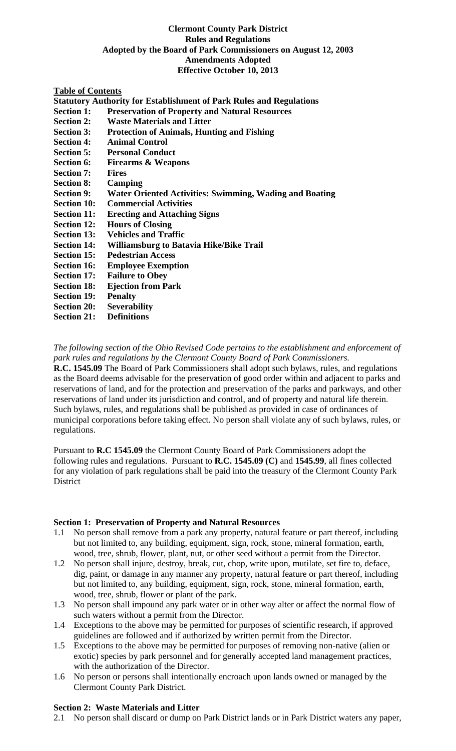## **Clermont County Park District Rules and Regulations Adopted by the Board of Park Commissioners on August 12, 2003 Amendments Adopted Effective October 10, 2013**

## **Table of Contents**

**Statutory Authority for Establishment of Park Rules and Regulations** 

- **Section 1: Preservation of Property and Natural Resources**
- **Section 2: Waste Materials and Litter**
- **Section 3: Protection of Animals, Hunting and Fishing**
- **Section 4: Animal Control**
- **Section 5: Personal Conduct**
- **Section 6: Firearms & Weapons**
- **Section 7: Fires**
- **Section 8: Camping**
- **Section 9: Water Oriented Activities: Swimming, Wading and Boating**
- **Section 10: Commercial Activities**
- **Section 11: Erecting and Attaching Signs**
- **Section 12: Hours of Closing**
- **Section 13: Vehicles and Traffic**
- **Section 14: Williamsburg to Batavia Hike/Bike Trail**
- **Section 15: Pedestrian Access**
- **Section 16: Employee Exemption**
- **Section 17: Failure to Obey**
- **Section 18: Ejection from Park**
- **Section 19: Penalty**
- **Section 20:** Severability<br>Section 21: Definitions
- **Section 21:**

*The following section of the Ohio Revised Code pertains to the establishment and enforcement of park rules and regulations by the Clermont County Board of Park Commissioners.*

**R.C. 1545.09** The Board of Park Commissioners shall adopt such bylaws, rules, and regulations as the Board deems advisable for the preservation of good order within and adjacent to parks and reservations of land, and for the protection and preservation of the parks and parkways, and other reservations of land under its jurisdiction and control, and of property and natural life therein. Such bylaws, rules, and regulations shall be published as provided in case of ordinances of municipal corporations before taking effect. No person shall violate any of such bylaws, rules, or regulations.

Pursuant to **R.C 1545.09** the Clermont County Board of Park Commissioners adopt the following rules and regulations. Pursuant to **R.C. 1545.09 (C)** and **1545.99**, all fines collected for any violation of park regulations shall be paid into the treasury of the Clermont County Park **District** 

#### **Section 1: Preservation of Property and Natural Resources**

- 1.1 No person shall remove from a park any property, natural feature or part thereof, including but not limited to, any building, equipment, sign, rock, stone, mineral formation, earth, wood, tree, shrub, flower, plant, nut, or other seed without a permit from the Director.
- 1.2 No person shall injure, destroy, break, cut, chop, write upon, mutilate, set fire to, deface, dig, paint, or damage in any manner any property, natural feature or part thereof, including but not limited to, any building, equipment, sign, rock, stone, mineral formation, earth, wood, tree, shrub, flower or plant of the park.
- 1.3 No person shall impound any park water or in other way alter or affect the normal flow of such waters without a permit from the Director.
- 1.4 Exceptions to the above may be permitted for purposes of scientific research, if approved guidelines are followed and if authorized by written permit from the Director.
- 1.5 Exceptions to the above may be permitted for purposes of removing non-native (alien or exotic) species by park personnel and for generally accepted land management practices, with the authorization of the Director.
- 1.6 No person or persons shall intentionally encroach upon lands owned or managed by the Clermont County Park District.

#### **Section 2: Waste Materials and Litter**

2.1 No person shall discard or dump on Park District lands or in Park District waters any paper,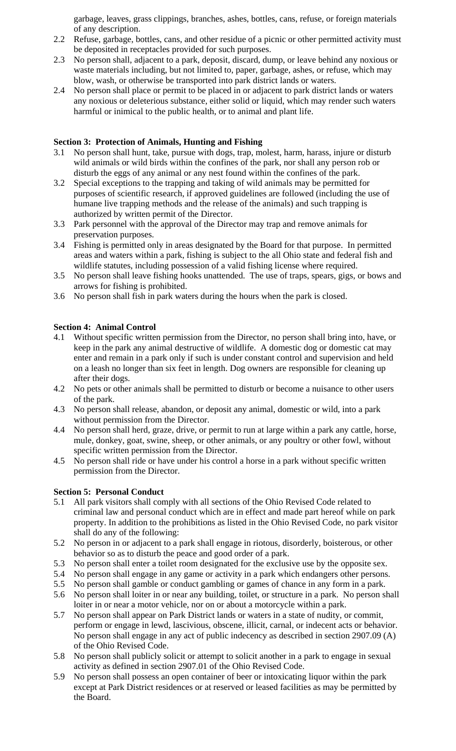garbage, leaves, grass clippings, branches, ashes, bottles, cans, refuse, or foreign materials of any description.

- 2.2 Refuse, garbage, bottles, cans, and other residue of a picnic or other permitted activity must be deposited in receptacles provided for such purposes.
- 2.3 No person shall, adjacent to a park, deposit, discard, dump, or leave behind any noxious or waste materials including, but not limited to, paper, garbage, ashes, or refuse, which may blow, wash, or otherwise be transported into park district lands or waters.
- 2.4 No person shall place or permit to be placed in or adjacent to park district lands or waters any noxious or deleterious substance, either solid or liquid, which may render such waters harmful or inimical to the public health, or to animal and plant life.

# **Section 3: Protection of Animals, Hunting and Fishing**

- 3.1 No person shall hunt, take, pursue with dogs, trap, molest, harm, harass, injure or disturb wild animals or wild birds within the confines of the park, nor shall any person rob or disturb the eggs of any animal or any nest found within the confines of the park.
- 3.2 Special exceptions to the trapping and taking of wild animals may be permitted for purposes of scientific research, if approved guidelines are followed (including the use of humane live trapping methods and the release of the animals) and such trapping is authorized by written permit of the Director.
- 3.3 Park personnel with the approval of the Director may trap and remove animals for preservation purposes.
- 3.4 Fishing is permitted only in areas designated by the Board for that purpose. In permitted areas and waters within a park, fishing is subject to the all Ohio state and federal fish and wildlife statutes, including possession of a valid fishing license where required.
- 3.5 No person shall leave fishing hooks unattended. The use of traps, spears, gigs, or bows and arrows for fishing is prohibited.
- 3.6 No person shall fish in park waters during the hours when the park is closed.

## **Section 4: Animal Control**

- 4.1 Without specific written permission from the Director, no person shall bring into, have, or keep in the park any animal destructive of wildlife. A domestic dog or domestic cat may enter and remain in a park only if such is under constant control and supervision and held on a leash no longer than six feet in length. Dog owners are responsible for cleaning up after their dogs.
- 4.2 No pets or other animals shall be permitted to disturb or become a nuisance to other users of the park.
- 4.3 No person shall release, abandon, or deposit any animal, domestic or wild, into a park without permission from the Director.
- 4.4 No person shall herd, graze, drive, or permit to run at large within a park any cattle, horse, mule, donkey, goat, swine, sheep, or other animals, or any poultry or other fowl, without specific written permission from the Director.
- 4.5 No person shall ride or have under his control a horse in a park without specific written permission from the Director.

# **Section 5: Personal Conduct**

- 5.1 All park visitors shall comply with all sections of the Ohio Revised Code related to criminal law and personal conduct which are in effect and made part hereof while on park property. In addition to the prohibitions as listed in the Ohio Revised Code, no park visitor shall do any of the following:
- 5.2 No person in or adjacent to a park shall engage in riotous, disorderly, boisterous, or other behavior so as to disturb the peace and good order of a park.
- 5.3 No person shall enter a toilet room designated for the exclusive use by the opposite sex.
- 5.4 No person shall engage in any game or activity in a park which endangers other persons.
- 5.5 No person shall gamble or conduct gambling or games of chance in any form in a park.
- 5.6 No person shall loiter in or near any building, toilet, or structure in a park. No person shall loiter in or near a motor vehicle, nor on or about a motorcycle within a park.
- 5.7 No person shall appear on Park District lands or waters in a state of nudity, or commit, perform or engage in lewd, lascivious, obscene, illicit, carnal, or indecent acts or behavior. No person shall engage in any act of public indecency as described in section 2907.09 (A) of the Ohio Revised Code.
- 5.8 No person shall publicly solicit or attempt to solicit another in a park to engage in sexual activity as defined in section 2907.01 of the Ohio Revised Code.
- 5.9 No person shall possess an open container of beer or intoxicating liquor within the park except at Park District residences or at reserved or leased facilities as may be permitted by the Board.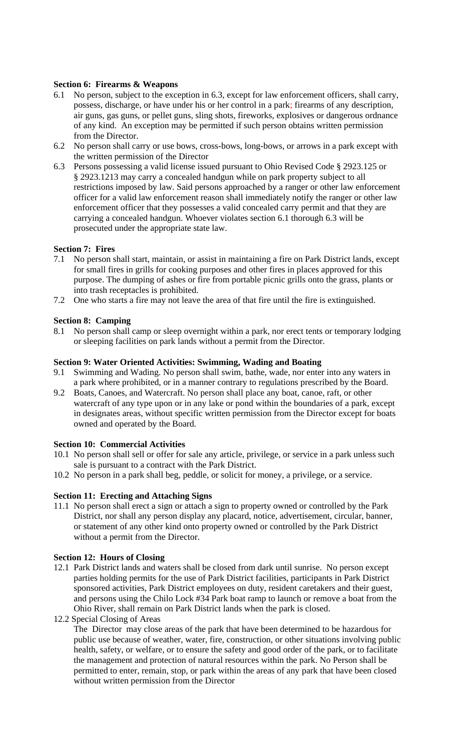### **Section 6: Firearms & Weapons**

- 6.1 No person, subject to the exception in 6.3, except for law enforcement officers, shall carry, possess, discharge, or have under his or her control in a park; firearms of any description, air guns, gas guns, or pellet guns, sling shots, fireworks, explosives or dangerous ordnance of any kind. An exception may be permitted if such person obtains written permission from the Director.
- 6.2 No person shall carry or use bows, cross-bows, long-bows, or arrows in a park except with the written permission of the Director
- 6.3 Persons possessing a valid license issued pursuant to Ohio Revised Code § 2923.125 or § 2923.1213 may carry a concealed handgun while on park property subject to all restrictions imposed by law. Said persons approached by a ranger or other law enforcement officer for a valid law enforcement reason shall immediately notify the ranger or other law enforcement officer that they possesses a valid concealed carry permit and that they are carrying a concealed handgun. Whoever violates section 6.1 thorough 6.3 will be prosecuted under the appropriate state law.

## **Section 7: Fires**

- 7.1 No person shall start, maintain, or assist in maintaining a fire on Park District lands, except for small fires in grills for cooking purposes and other fires in places approved for this purpose. The dumping of ashes or fire from portable picnic grills onto the grass, plants or into trash receptacles is prohibited.
- 7.2 One who starts a fire may not leave the area of that fire until the fire is extinguished.

### **Section 8: Camping**

8.1 No person shall camp or sleep overnight within a park, nor erect tents or temporary lodging or sleeping facilities on park lands without a permit from the Director.

# **Section 9: Water Oriented Activities: Swimming, Wading and Boating**

- 9.1 Swimming and Wading. No person shall swim, bathe, wade, nor enter into any waters in a park where prohibited, or in a manner contrary to regulations prescribed by the Board.
- 9.2 Boats, Canoes, and Watercraft. No person shall place any boat, canoe, raft, or other watercraft of any type upon or in any lake or pond within the boundaries of a park, except in designates areas, without specific written permission from the Director except for boats owned and operated by the Board.

## **Section 10: Commercial Activities**

- 10.1 No person shall sell or offer for sale any article, privilege, or service in a park unless such sale is pursuant to a contract with the Park District.
- 10.2 No person in a park shall beg, peddle, or solicit for money, a privilege, or a service.

#### **Section 11: Erecting and Attaching Signs**

11.1 No person shall erect a sign or attach a sign to property owned or controlled by the Park District, nor shall any person display any placard, notice, advertisement, circular, banner, or statement of any other kind onto property owned or controlled by the Park District without a permit from the Director.

#### **Section 12: Hours of Closing**

- 12.1 Park District lands and waters shall be closed from dark until sunrise. No person except parties holding permits for the use of Park District facilities, participants in Park District sponsored activities, Park District employees on duty, resident caretakers and their guest, and persons using the Chilo Lock #34 Park boat ramp to launch or remove a boat from the Ohio River, shall remain on Park District lands when the park is closed.
- 12.2 Special Closing of Areas

The Director may close areas of the park that have been determined to be hazardous for public use because of weather, water, fire, construction, or other situations involving public health, safety, or welfare, or to ensure the safety and good order of the park, or to facilitate the management and protection of natural resources within the park. No Person shall be permitted to enter, remain, stop, or park within the areas of any park that have been closed without written permission from the Director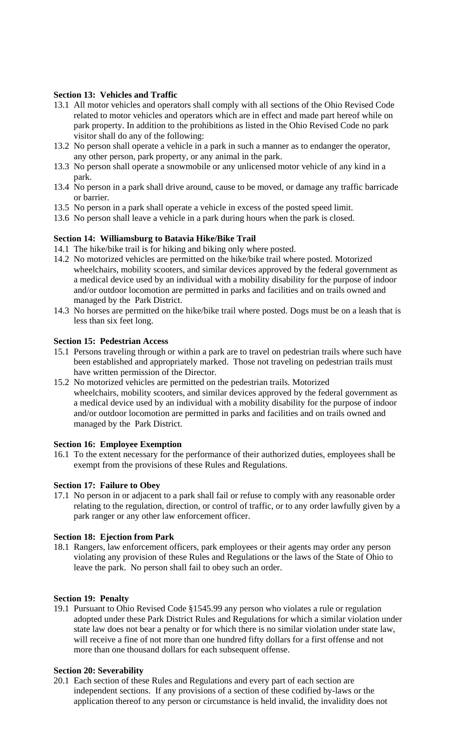## **Section 13: Vehicles and Traffic**

- 13.1 All motor vehicles and operators shall comply with all sections of the Ohio Revised Code related to motor vehicles and operators which are in effect and made part hereof while on park property. In addition to the prohibitions as listed in the Ohio Revised Code no park visitor shall do any of the following:
- 13.2 No person shall operate a vehicle in a park in such a manner as to endanger the operator, any other person, park property, or any animal in the park.
- 13.3 No person shall operate a snowmobile or any unlicensed motor vehicle of any kind in a park.
- 13.4 No person in a park shall drive around, cause to be moved, or damage any traffic barricade or barrier.
- 13.5 No person in a park shall operate a vehicle in excess of the posted speed limit.
- 13.6 No person shall leave a vehicle in a park during hours when the park is closed.

## **Section 14: Williamsburg to Batavia Hike/Bike Trail**

- 14.1 The hike/bike trail is for hiking and biking only where posted.
- 14.2 No motorized vehicles are permitted on the hike/bike trail where posted. Motorized wheelchairs, mobility scooters, and similar devices approved by the federal government as a medical device used by an individual with a mobility disability for the purpose of indoor and/or outdoor locomotion are permitted in parks and facilities and on trails owned and managed by the Park District.
- 14.3 No horses are permitted on the hike/bike trail where posted. Dogs must be on a leash that is less than six feet long.

## **Section 15: Pedestrian Access**

- 15.1 Persons traveling through or within a park are to travel on pedestrian trails where such have been established and appropriately marked. Those not traveling on pedestrian trails must have written permission of the Director.
- 15.2 No motorized vehicles are permitted on the pedestrian trails. Motorized wheelchairs, mobility scooters, and similar devices approved by the federal government as a medical device used by an individual with a mobility disability for the purpose of indoor and/or outdoor locomotion are permitted in parks and facilities and on trails owned and managed by the Park District.

## **Section 16: Employee Exemption**

16.1 To the extent necessary for the performance of their authorized duties, employees shall be exempt from the provisions of these Rules and Regulations.

## **Section 17: Failure to Obey**

17.1 No person in or adjacent to a park shall fail or refuse to comply with any reasonable order relating to the regulation, direction, or control of traffic, or to any order lawfully given by a park ranger or any other law enforcement officer.

## **Section 18: Ejection from Park**

18.1 Rangers, law enforcement officers, park employees or their agents may order any person violating any provision of these Rules and Regulations or the laws of the State of Ohio to leave the park. No person shall fail to obey such an order.

## **Section 19: Penalty**

19.1 Pursuant to Ohio Revised Code §1545.99 any person who violates a rule or regulation adopted under these Park District Rules and Regulations for which a similar violation under state law does not bear a penalty or for which there is no similar violation under state law, will receive a fine of not more than one hundred fifty dollars for a first offense and not more than one thousand dollars for each subsequent offense.

## **Section 20: Severability**

20.1 Each section of these Rules and Regulations and every part of each section are independent sections. If any provisions of a section of these codified by-laws or the application thereof to any person or circumstance is held invalid, the invalidity does not